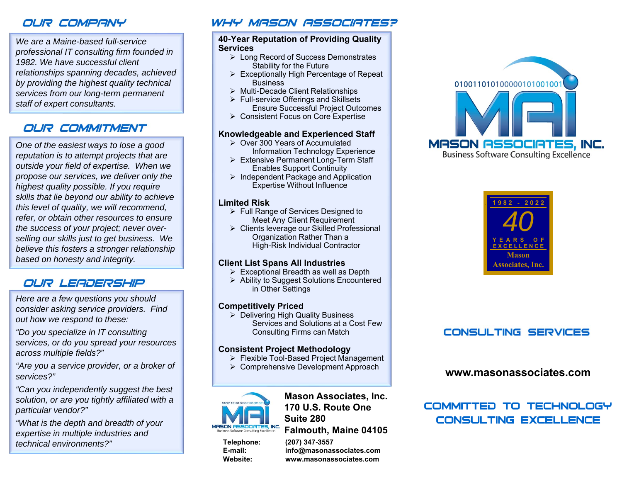## OUR COMPANY

*We are a Maine-based full-service professional IT consulting firm founded in 1982. We have successful client relationships spanning decades, achieved by providing the highest quality technical services from our long-term permanent staff of expert consultants.*

## OUR COMMITMENT

*One of the easiest ways to lose a good reputation is to attempt projects that are outside your field of expertise. When we propose our services, we deliver only the highest quality possible. If you require skills that lie beyond our ability to achieve this level of quality, we will recommend, refer, or obtain other resources to ensure the success of your project; never overselling our skills just to get business. We believe this fosters a stronger relationship based on honesty and integrity.*

### OUR LEADERSHIP

*Here are a few questions you should consider asking service providers. Find out how we respond to these:*

*"Do you specialize in IT consulting services, or do you spread your resources across multiple fields?"*

*"Are you a service provider, or a broker of services?"*

*"Can you independently suggest the best solution, or are you tightly affiliated with a particular vendor?"*

*"What is the depth and breadth of your expertise in multiple industries and technical environments?"*

### WHY MASON ASSOCIATES?

#### **40-Year Reputation of Providing Quality Services**

- > Long Record of Success Demonstrates Stability for the Future
- Exceptionally High Percentage of Repeat **Business**
- Multi-Decade Client Relationships
- $\triangleright$  Full-service Offerings and Skillsets Ensure Successful Project Outcomes
- Consistent Focus on Core Expertise

#### **Knowledgeable and Experienced Staff**

- Over 300 Years of Accumulated Information Technology Experience
- Extensive Permanent Long-Term Staff Enables Support Continuity
- $\triangleright$  Independent Package and Application Expertise Without Influence

#### **Limited Risk**

- Full Range of Services Designed to Meet Any Client Requirement
- Clients leverage our Skilled Professional Organization Rather Than a High-Risk Individual Contractor

### **Client List Spans All Industries**

- $\triangleright$  Exceptional Breadth as well as Depth
- Ability to Suggest Solutions Encountered in Other Settings

### **Competitively Priced**

 Delivering High Quality Business Services and Solutions at a Cost Few Consulting Firms can Match

#### **Consistent Project Methodology**

- Flexible Tool-Based Project Management
- Comprehensive Development Approach



**Mason Associates, Inc. 170 U.S. Route OneSuite 280Falmouth, Maine 04105**

**Telephone: (207) 347-3557**

**E-mail: info@masonassociates.com Website: www.masonassociates.com**





## **CONSULTING SERVICES**

### **www.masonassociates.com**